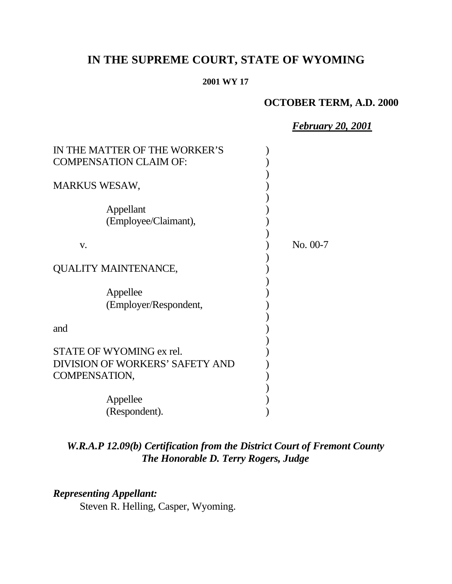# **IN THE SUPREME COURT, STATE OF WYOMING**

#### **2001 WY 17**

### **OCTOBER TERM, A.D. 2000**

*February 20, 2001*

| IN THE MATTER OF THE WORKER'S                                                |            |
|------------------------------------------------------------------------------|------------|
| <b>COMPENSATION CLAIM OF:</b>                                                |            |
| <b>MARKUS WESAW,</b>                                                         |            |
| Appellant<br>(Employee/Claimant),                                            |            |
| V.                                                                           | $No. 00-7$ |
| QUALITY MAINTENANCE,                                                         |            |
| Appellee<br>(Employer/Respondent,                                            |            |
| and                                                                          |            |
| STATE OF WYOMING ex rel.<br>DIVISION OF WORKERS' SAFETY AND<br>COMPENSATION, |            |
| Appellee                                                                     |            |
| (Respondent).                                                                |            |

# *W.R.A.P 12.09(b) Certification from the District Court of Fremont County The Honorable D. Terry Rogers, Judge*

## *Representing Appellant:*

Steven R. Helling, Casper, Wyoming.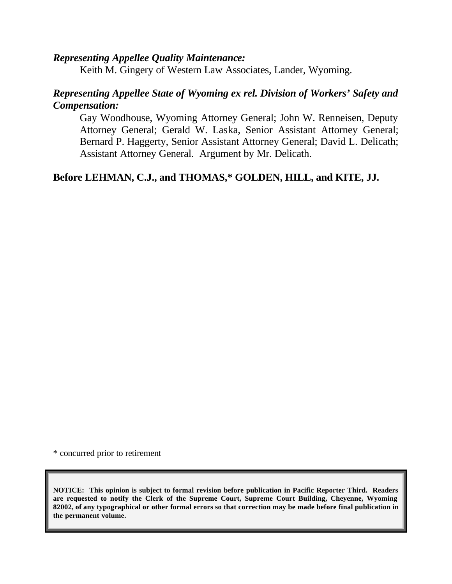### *Representing Appellee Quality Maintenance:*

Keith M. Gingery of Western Law Associates, Lander, Wyoming.

### *Representing Appellee State of Wyoming ex rel. Division of Workers' Safety and Compensation:*

Gay Woodhouse, Wyoming Attorney General; John W. Renneisen, Deputy Attorney General; Gerald W. Laska, Senior Assistant Attorney General; Bernard P. Haggerty, Senior Assistant Attorney General; David L. Delicath; Assistant Attorney General. Argument by Mr. Delicath.

### **Before LEHMAN, C.J., and THOMAS,\* GOLDEN, HILL, and KITE, JJ.**

\* concurred prior to retirement

**NOTICE: This opinion is subject to formal revision before publication in Pacific Reporter Third. Readers are requested to notify the Clerk of the Supreme Court, Supreme Court Building, Cheyenne, Wyoming 82002, of any typographical or other formal errors so that correction may be made before final publication in the permanent volume.**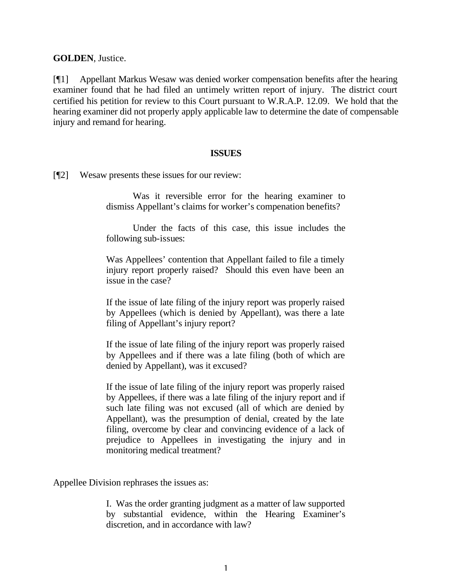**GOLDEN**, Justice.

[¶1] Appellant Markus Wesaw was denied worker compensation benefits after the hearing examiner found that he had filed an untimely written report of injury. The district court certified his petition for review to this Court pursuant to W.R.A.P. 12.09. We hold that the hearing examiner did not properly apply applicable law to determine the date of compensable injury and remand for hearing.

#### **ISSUES**

[¶2] Wesaw presents these issues for our review:

Was it reversible error for the hearing examiner to dismiss Appellant's claims for worker's compenation benefits?

Under the facts of this case, this issue includes the following sub-issues:

Was Appellees' contention that Appellant failed to file a timely injury report properly raised? Should this even have been an issue in the case?

If the issue of late filing of the injury report was properly raised by Appellees (which is denied by Appellant), was there a late filing of Appellant's injury report?

If the issue of late filing of the injury report was properly raised by Appellees and if there was a late filing (both of which are denied by Appellant), was it excused?

If the issue of late filing of the injury report was properly raised by Appellees, if there was a late filing of the injury report and if such late filing was not excused (all of which are denied by Appellant), was the presumption of denial, created by the late filing, overcome by clear and convincing evidence of a lack of prejudice to Appellees in investigating the injury and in monitoring medical treatment?

Appellee Division rephrases the issues as:

I. Was the order granting judgment as a matter of law supported by substantial evidence, within the Hearing Examiner's discretion, and in accordance with law?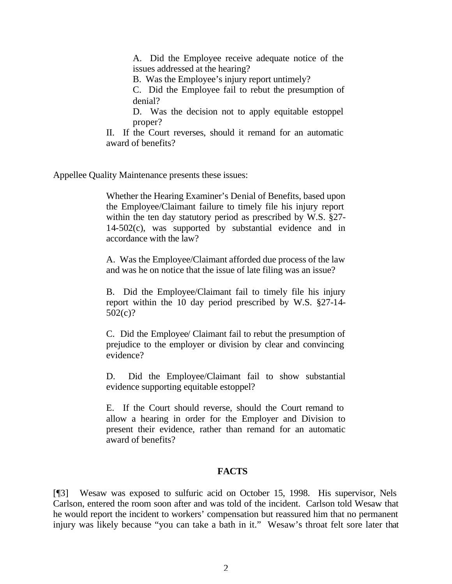A. Did the Employee receive adequate notice of the issues addressed at the hearing?

B. Was the Employee's injury report untimely?

C. Did the Employee fail to rebut the presumption of denial?

D. Was the decision not to apply equitable estoppel proper?

II. If the Court reverses, should it remand for an automatic award of benefits?

Appellee Quality Maintenance presents these issues:

Whether the Hearing Examiner's Denial of Benefits, based upon the Employee/Claimant failure to timely file his injury report within the ten day statutory period as prescribed by W.S. §27- 14-502(c), was supported by substantial evidence and in accordance with the law?

A. Was the Employee/Claimant afforded due process of the law and was he on notice that the issue of late filing was an issue?

B. Did the Employee/Claimant fail to timely file his injury report within the 10 day period prescribed by W.S. §27-14- 502(c)?

C. Did the Employee/ Claimant fail to rebut the presumption of prejudice to the employer or division by clear and convincing evidence?

D. Did the Employee/Claimant fail to show substantial evidence supporting equitable estoppel?

E. If the Court should reverse, should the Court remand to allow a hearing in order for the Employer and Division to present their evidence, rather than remand for an automatic award of benefits?

### **FACTS**

[¶3] Wesaw was exposed to sulfuric acid on October 15, 1998. His supervisor, Nels Carlson, entered the room soon after and was told of the incident. Carlson told Wesaw that he would report the incident to workers' compensation but reassured him that no permanent injury was likely because "you can take a bath in it." Wesaw's throat felt sore later that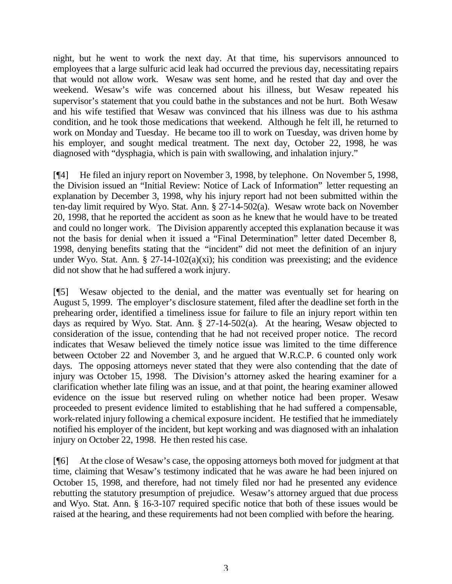night, but he went to work the next day. At that time, his supervisors announced to employees that a large sulfuric acid leak had occurred the previous day, necessitating repairs that would not allow work. Wesaw was sent home, and he rested that day and over the weekend. Wesaw's wife was concerned about his illness, but Wesaw repeated his supervisor's statement that you could bathe in the substances and not be hurt. Both Wesaw and his wife testified that Wesaw was convinced that his illness was due to his asthma condition, and he took those medications that weekend. Although he felt ill, he returned to work on Monday and Tuesday. He became too ill to work on Tuesday, was driven home by his employer, and sought medical treatment. The next day, October 22, 1998, he was diagnosed with "dysphagia, which is pain with swallowing, and inhalation injury."

[¶4] He filed an injury report on November 3, 1998, by telephone. On November 5, 1998, the Division issued an "Initial Review: Notice of Lack of Information" letter requesting an explanation by December 3, 1998, why his injury report had not been submitted within the ten-day limit required by Wyo. Stat. Ann. § 27-14-502(a). Wesaw wrote back on November 20, 1998, that he reported the accident as soon as he knew that he would have to be treated and could no longer work. The Division apparently accepted this explanation because it was not the basis for denial when it issued a "Final Determination" letter dated December 8, 1998, denying benefits stating that the "incident" did not meet the definition of an injury under Wyo. Stat. Ann.  $\S 27-14-102(a)(xi)$ ; his condition was preexisting; and the evidence did not show that he had suffered a work injury.

[¶5] Wesaw objected to the denial, and the matter was eventually set for hearing on August 5, 1999. The employer's disclosure statement, filed after the deadline set forth in the prehearing order, identified a timeliness issue for failure to file an injury report within ten days as required by Wyo. Stat. Ann. § 27-14-502(a). At the hearing, Wesaw objected to consideration of the issue, contending that he had not received proper notice. The record indicates that Wesaw believed the timely notice issue was limited to the time difference between October 22 and November 3, and he argued that W.R.C.P. 6 counted only work days. The opposing attorneys never stated that they were also contending that the date of injury was October 15, 1998. The Division's attorney asked the hearing examiner for a clarification whether late filing was an issue, and at that point, the hearing examiner allowed evidence on the issue but reserved ruling on whether notice had been proper. Wesaw proceeded to present evidence limited to establishing that he had suffered a compensable, work-related injury following a chemical exposure incident. He testified that he immediately notified his employer of the incident, but kept working and was diagnosed with an inhalation injury on October 22, 1998. He then rested his case.

[¶6] At the close of Wesaw's case, the opposing attorneys both moved for judgment at that time, claiming that Wesaw's testimony indicated that he was aware he had been injured on October 15, 1998, and therefore, had not timely filed nor had he presented any evidence rebutting the statutory presumption of prejudice. Wesaw's attorney argued that due process and Wyo. Stat. Ann. § 16-3-107 required specific notice that both of these issues would be raised at the hearing, and these requirements had not been complied with before the hearing.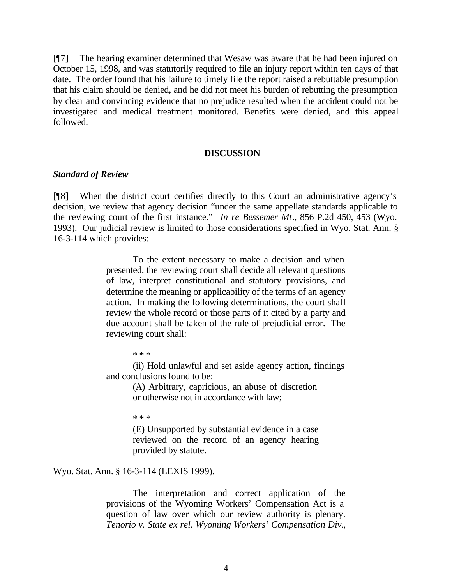[¶7] The hearing examiner determined that Wesaw was aware that he had been injured on October 15, 1998, and was statutorily required to file an injury report within ten days of that date. The order found that his failure to timely file the report raised a rebuttable presumption that his claim should be denied, and he did not meet his burden of rebutting the presumption by clear and convincing evidence that no prejudice resulted when the accident could not be investigated and medical treatment monitored. Benefits were denied, and this appeal followed.

#### **DISCUSSION**

#### *Standard of Review*

[¶8] When the district court certifies directly to this Court an administrative agency's decision, we review that agency decision "under the same appellate standards applicable to the reviewing court of the first instance." *In re Bessemer Mt*., 856 P.2d 450, 453 (Wyo. 1993). Our judicial review is limited to those considerations specified in Wyo. Stat. Ann. § 16-3-114 which provides:

> To the extent necessary to make a decision and when presented, the reviewing court shall decide all relevant questions of law, interpret constitutional and statutory provisions, and determine the meaning or applicability of the terms of an agency action. In making the following determinations, the court shall review the whole record or those parts of it cited by a party and due account shall be taken of the rule of prejudicial error. The reviewing court shall:

> > \* \* \*

(ii) Hold unlawful and set aside agency action, findings and conclusions found to be:

> (A) Arbitrary, capricious, an abuse of discretion or otherwise not in accordance with law;

\* \* \*

(E) Unsupported by substantial evidence in a case reviewed on the record of an agency hearing provided by statute.

Wyo. Stat. Ann. § 16-3-114 (LEXIS 1999).

The interpretation and correct application of the provisions of the Wyoming Workers' Compensation Act is a question of law over which our review authority is plenary. *Tenorio v. State ex rel. Wyoming Workers' Compensation Div*.,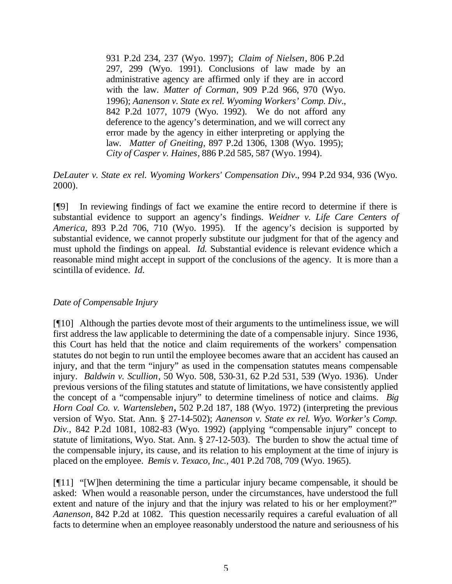931 P.2d 234, 237 (Wyo. 1997); *Claim of Nielsen*, 806 P.2d 297, 299 (Wyo. 1991). Conclusions of law made by an administrative agency are affirmed only if they are in accord with the law. *Matter of Corman*, 909 P.2d 966, 970 (Wyo. 1996); *Aanenson v. State ex rel. Wyoming Workers' Comp. Div*., 842 P.2d 1077, 1079 (Wyo. 1992). We do not afford any deference to the agency's determination, and we will correct any error made by the agency in either interpreting or applying the law. *Matter of Gneiting*, 897 P.2d 1306, 1308 (Wyo. 1995); *City of Casper v. Haines*, 886 P.2d 585, 587 (Wyo. 1994).

*DeLauter v. State ex rel. Wyoming Workers' Compensation Div*., 994 P.2d 934, 936 (Wyo. 2000).

[¶9] In reviewing findings of fact we examine the entire record to determine if there is substantial evidence to support an agency's findings. *Weidner v. Life Care Centers of America,* 893 P.2d 706, 710 (Wyo. 1995). If the agency's decision is supported by substantial evidence, we cannot properly substitute our judgment for that of the agency and must uphold the findings on appeal. *Id.* Substantial evidence is relevant evidence which a reasonable mind might accept in support of the conclusions of the agency. It is more than a scintilla of evidence. *Id.*

### *Date of Compensable Injury*

[¶10] Although the parties devote most of their arguments to the untimeliness issue, we will first address the law applicable to determining the date of a compensable injury. Since 1936, this Court has held that the notice and claim requirements of the workers' compensation statutes do not begin to run until the employee becomes aware that an accident has caused an injury, and that the term "injury" as used in the compensation statutes means compensable injury. *Baldwin v. Scullion*, 50 Wyo. 508, 530-31, 62 P.2d 531, 539 (Wyo. 1936). Under previous versions of the filing statutes and statute of limitations, we have consistently applied the concept of a "compensable injury" to determine timeliness of notice and claims. *Big Horn Coal Co. v. Wartensleben***,** 502 P.2d 187, 188 (Wyo. 1972) (interpreting the previous version of Wyo. Stat. Ann. § 27-14-502); *Aanenson v. State ex rel. Wyo. Worker's Comp. Div.,* 842 P.2d 1081, 1082-83 (Wyo. 1992) (applying "compensable injury" concept to statute of limitations, Wyo. Stat. Ann. § 27-12-503). The burden to show the actual time of the compensable injury, its cause, and its relation to his employment at the time of injury is placed on the employee. *Bemis v. Texaco, Inc.,* 401 P.2d 708, 709 (Wyo. 1965).

[¶11] "[W]hen determining the time a particular injury became compensable, it should be asked: When would a reasonable person, under the circumstances, have understood the full extent and nature of the injury and that the injury was related to his or her employment?" *Aanenson,* 842 P.2d at 1082. This question necessarily requires a careful evaluation of all facts to determine when an employee reasonably understood the nature and seriousness of his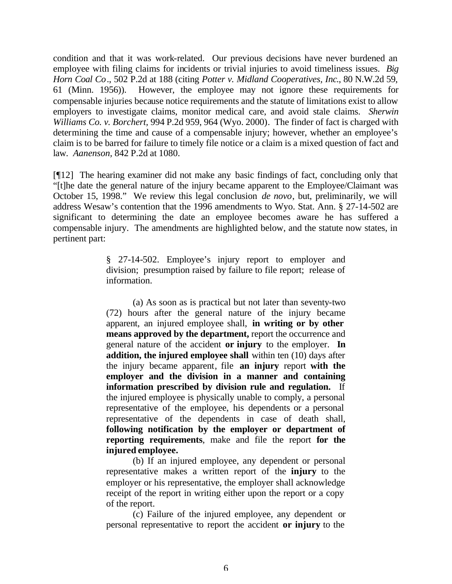condition and that it was work-related. Our previous decisions have never burdened an employee with filing claims for incidents or trivial injuries to avoid timeliness issues. *Big Horn Coal Co*., 502 P.2d at 188 (citing *Potter v. Midland Cooperatives, Inc*., 80 N.W.2d 59, 61 (Minn. 1956)). However, the employee may not ignore these requirements for compensable injuries because notice requirements and the statute of limitations exist to allow employers to investigate claims, monitor medical care, and avoid stale claims. *Sherwin Williams Co. v. Borchert,* 994 P.2d 959, 964 (Wyo. 2000)*.* The finder of fact is charged with determining the time and cause of a compensable injury; however, whether an employee's claim is to be barred for failure to timely file notice or a claim is a mixed question of fact and law. *Aanenson,* 842 P.2d at 1080.

[¶12] The hearing examiner did not make any basic findings of fact, concluding only that "[t]he date the general nature of the injury became apparent to the Employee/Claimant was October 15, 1998." We review this legal conclusion *de novo*, but, preliminarily, we will address Wesaw's contention that the 1996 amendments to Wyo. Stat. Ann. § 27-14-502 are significant to determining the date an employee becomes aware he has suffered a compensable injury. The amendments are highlighted below, and the statute now states, in pertinent part:

> § 27-14-502. Employee's injury report to employer and division; presumption raised by failure to file report; release of information.

> (a) As soon as is practical but not later than seventy-two (72) hours after the general nature of the injury became apparent, an injured employee shall, **in writing or by other means approved by the department,** report the occurrence and general nature of the accident **or injury** to the employer. **In addition, the injured employee shall** within ten (10) days after the injury became apparent, file **an injury** report **with the employer and the division in a manner and containing information prescribed by division rule and regulation.** If the injured employee is physically unable to comply, a personal representative of the employee, his dependents or a personal representative of the dependents in case of death shall, **following notification by the employer or department of reporting requirements**, make and file the report **for the injured employee.**

> (b) If an injured employee, any dependent or personal representative makes a written report of the **injury** to the employer or his representative, the employer shall acknowledge receipt of the report in writing either upon the report or a copy of the report.

> (c) Failure of the injured employee, any dependent or personal representative to report the accident **or injury** to the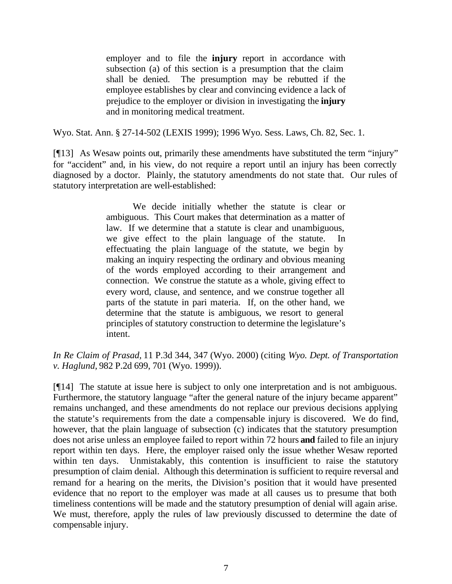employer and to file the **injury** report in accordance with subsection (a) of this section is a presumption that the claim shall be denied. The presumption may be rebutted if the employee establishes by clear and convincing evidence a lack of prejudice to the employer or division in investigating the **injury**  and in monitoring medical treatment.

Wyo. Stat. Ann. § 27-14-502 (LEXIS 1999); 1996 Wyo. Sess. Laws, Ch. 82, Sec. 1.

[¶13] As Wesaw points out, primarily these amendments have substituted the term "injury" for "accident" and, in his view, do not require a report until an injury has been correctly diagnosed by a doctor. Plainly, the statutory amendments do not state that. Our rules of statutory interpretation are well-established:

> We decide initially whether the statute is clear or ambiguous. This Court makes that determination as a matter of law. If we determine that a statute is clear and unambiguous, we give effect to the plain language of the statute. In effectuating the plain language of the statute, we begin by making an inquiry respecting the ordinary and obvious meaning of the words employed according to their arrangement and connection. We construe the statute as a whole, giving effect to every word, clause, and sentence, and we construe together all parts of the statute in pari materia. If, on the other hand, we determine that the statute is ambiguous, we resort to general principles of statutory construction to determine the legislature's intent.

*In Re Claim of Prasad,* 11 P.3d 344, 347 (Wyo. 2000) (citing *Wyo. Dept. of Transportation v. Haglund,* 982 P.2d 699, 701 (Wyo. 1999)).

[¶14] The statute at issue here is subject to only one interpretation and is not ambiguous. Furthermore, the statutory language "after the general nature of the injury became apparent" remains unchanged, and these amendments do not replace our previous decisions applying the statute's requirements from the date a compensable injury is discovered. We do find, however, that the plain language of subsection (c) indicates that the statutory presumption does not arise unless an employee failed to report within 72 hours **and** failed to file an injury report within ten days. Here, the employer raised only the issue whether Wesaw reported within ten days. Unmistakably, this contention is insufficient to raise the statutory presumption of claim denial. Although this determination is sufficient to require reversal and remand for a hearing on the merits, the Division's position that it would have presented evidence that no report to the employer was made at all causes us to presume that both timeliness contentions will be made and the statutory presumption of denial will again arise. We must, therefore, apply the rules of law previously discussed to determine the date of compensable injury.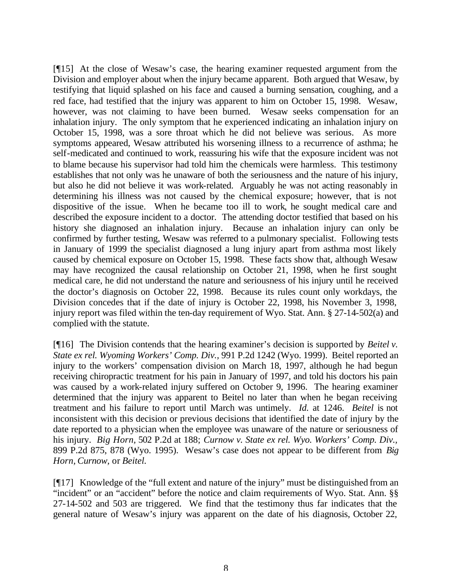[¶15] At the close of Wesaw's case, the hearing examiner requested argument from the Division and employer about when the injury became apparent. Both argued that Wesaw, by testifying that liquid splashed on his face and caused a burning sensation, coughing, and a red face, had testified that the injury was apparent to him on October 15, 1998. Wesaw, however, was not claiming to have been burned. Wesaw seeks compensation for an inhalation injury. The only symptom that he experienced indicating an inhalation injury on October 15, 1998, was a sore throat which he did not believe was serious. As more symptoms appeared, Wesaw attributed his worsening illness to a recurrence of asthma; he self-medicated and continued to work, reassuring his wife that the exposure incident was not to blame because his supervisor had told him the chemicals were harmless. This testimony establishes that not only was he unaware of both the seriousness and the nature of his injury, but also he did not believe it was work-related. Arguably he was not acting reasonably in determining his illness was not caused by the chemical exposure; however, that is not dispositive of the issue. When he became too ill to work, he sought medical care and described the exposure incident to a doctor. The attending doctor testified that based on his history she diagnosed an inhalation injury. Because an inhalation injury can only be confirmed by further testing, Wesaw was referred to a pulmonary specialist. Following tests in January of 1999 the specialist diagnosed a lung injury apart from asthma most likely caused by chemical exposure on October 15, 1998. These facts show that, although Wesaw may have recognized the causal relationship on October 21, 1998, when he first sought medical care, he did not understand the nature and seriousness of his injury until he received the doctor's diagnosis on October 22, 1998. Because its rules count only workdays, the Division concedes that if the date of injury is October 22, 1998, his November 3, 1998, injury report was filed within the ten-day requirement of Wyo. Stat. Ann. § 27-14-502(a) and complied with the statute.

[¶16] The Division contends that the hearing examiner's decision is supported by *Beitel v. State ex rel. Wyoming Workers' Comp. Div.,* 991 P.2d 1242 (Wyo. 1999). Beitel reported an injury to the workers' compensation division on March 18, 1997, although he had begun receiving chiropractic treatment for his pain in January of 1997, and told his doctors his pain was caused by a work-related injury suffered on October 9, 1996. The hearing examiner determined that the injury was apparent to Beitel no later than when he began receiving treatment and his failure to report until March was untimely. *Id.* at 1246. *Beitel* is not inconsistent with this decision or previous decisions that identified the date of injury by the date reported to a physician when the employee was unaware of the nature or seriousness of his injury. *Big Horn,* 502 P.2d at 188; *Curnow v. State ex rel. Wyo. Workers' Comp. Div.,*  899 P.2d 875, 878 (Wyo. 1995). Wesaw's case does not appear to be different from *Big Horn, Curnow,* or *Beitel.*

[¶17] Knowledge of the "full extent and nature of the injury" must be distinguished from an "incident" or an "accident" before the notice and claim requirements of Wyo. Stat. Ann. §§ 27-14-502 and 503 are triggered. We find that the testimony thus far indicates that the general nature of Wesaw's injury was apparent on the date of his diagnosis, October 22,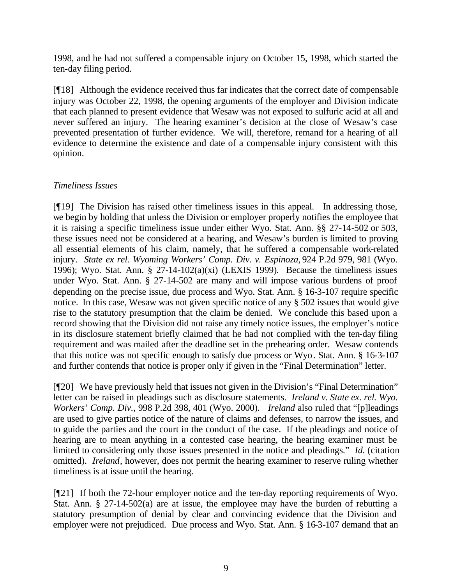1998, and he had not suffered a compensable injury on October 15, 1998, which started the ten-day filing period.

[¶18] Although the evidence received thus far indicates that the correct date of compensable injury was October 22, 1998, the opening arguments of the employer and Division indicate that each planned to present evidence that Wesaw was not exposed to sulfuric acid at all and never suffered an injury. The hearing examiner's decision at the close of Wesaw's case prevented presentation of further evidence. We will, therefore, remand for a hearing of all evidence to determine the existence and date of a compensable injury consistent with this opinion.

### *Timeliness Issues*

[¶19] The Division has raised other timeliness issues in this appeal. In addressing those, we begin by holding that unless the Division or employer properly notifies the employee that it is raising a specific timeliness issue under either Wyo. Stat. Ann. §§ 27-14-502 or 503, these issues need not be considered at a hearing, and Wesaw's burden is limited to proving all essential elements of his claim, namely, that he suffered a compensable work-related injury. *State ex rel. Wyoming Workers' Comp. Div. v. Espinoza,* 924 P.2d 979, 981 (Wyo. 1996); Wyo. Stat. Ann. § 27-14-102(a)(xi) (LEXIS 1999)*.* Because the timeliness issues under Wyo. Stat. Ann. § 27-14-502 are many and will impose various burdens of proof depending on the precise issue, due process and Wyo. Stat. Ann. § 16-3-107 require specific notice. In this case, Wesaw was not given specific notice of any § 502 issues that would give rise to the statutory presumption that the claim be denied. We conclude this based upon a record showing that the Division did not raise any timely notice issues, the employer's notice in its disclosure statement briefly claimed that he had not complied with the ten-day filing requirement and was mailed after the deadline set in the prehearing order. Wesaw contends that this notice was not specific enough to satisfy due process or Wyo. Stat. Ann. § 16-3-107 and further contends that notice is proper only if given in the "Final Determination" letter.

[¶20] We have previously held that issues not given in the Division's "Final Determination" letter can be raised in pleadings such as disclosure statements. *Ireland v. State ex. rel. Wyo. Workers' Comp. Div.,* 998 P.2d 398, 401 (Wyo. 2000). *Ireland* also ruled that "[p]leadings are used to give parties notice of the nature of claims and defenses, to narrow the issues, and to guide the parties and the court in the conduct of the case. If the pleadings and notice of hearing are to mean anything in a contested case hearing, the hearing examiner must be limited to considering only those issues presented in the notice and pleadings." *Id.* (citation omitted). *Ireland*, however, does not permit the hearing examiner to reserve ruling whether timeliness is at issue until the hearing.

[¶21] If both the 72-hour employer notice and the ten-day reporting requirements of Wyo. Stat. Ann. § 27-14-502(a) are at issue, the employee may have the burden of rebutting a statutory presumption of denial by clear and convincing evidence that the Division and employer were not prejudiced. Due process and Wyo. Stat. Ann. § 16-3-107 demand that an